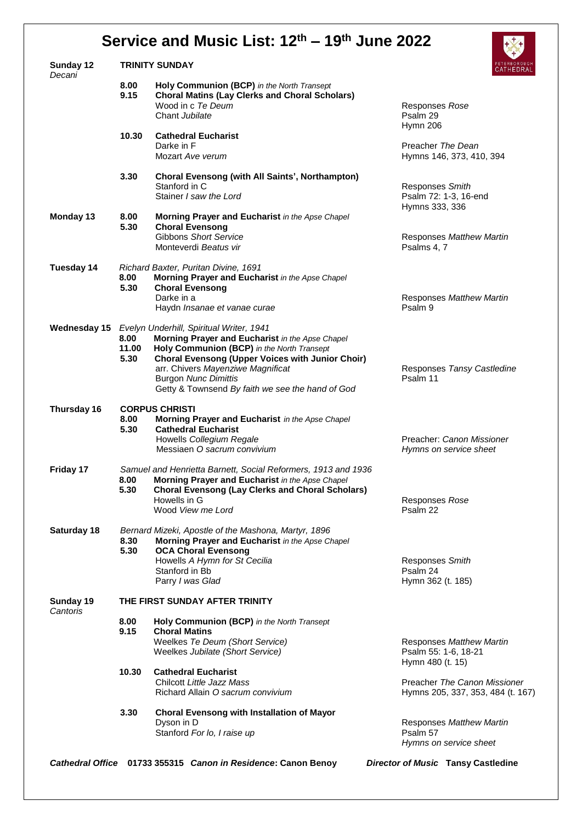## **Service and Music List: 12 th – 19 th June 2022**

| Sunday 12<br>Decani   |                                | <b>TRINITY SUNDAY</b>                                                                                                                                                                       |  |                                          | PETERBOROUGH<br>CATHEDRAL                                         |  |  |
|-----------------------|--------------------------------|---------------------------------------------------------------------------------------------------------------------------------------------------------------------------------------------|--|------------------------------------------|-------------------------------------------------------------------|--|--|
|                       | 8.00<br>9.15                   | Holy Communion (BCP) in the North Transept<br><b>Choral Matins (Lay Clerks and Choral Scholars)</b><br>Wood in c Te Deum<br>Chant Jubilate                                                  |  | Responses Rose<br>Psalm 29               |                                                                   |  |  |
|                       | 10.30                          | <b>Cathedral Eucharist</b><br>Darke in F                                                                                                                                                    |  | Hymn 206<br>Preacher The Dean            |                                                                   |  |  |
|                       |                                | Mozart Ave verum                                                                                                                                                                            |  |                                          | Hymns 146, 373, 410, 394                                          |  |  |
|                       | 3.30                           | <b>Choral Evensong (with All Saints', Northampton)</b><br>Stanford in C                                                                                                                     |  | Responses Smith                          |                                                                   |  |  |
|                       |                                | Stainer I saw the Lord                                                                                                                                                                      |  | Hymns 333, 336                           | Psalm 72: 1-3, 16-end                                             |  |  |
| Monday 13             | 8.00<br>5.30                   | Morning Prayer and Eucharist in the Apse Chapel<br><b>Choral Evensong</b>                                                                                                                   |  |                                          |                                                                   |  |  |
|                       |                                | Gibbons Short Service<br>Monteverdi Beatus vir                                                                                                                                              |  | Psalms 4, 7                              | Responses Matthew Martin                                          |  |  |
| Tuesday 14            |                                | Richard Baxter, Puritan Divine, 1691                                                                                                                                                        |  |                                          |                                                                   |  |  |
|                       | 8.00<br>5.30                   | Morning Prayer and Eucharist in the Apse Chapel<br><b>Choral Evensong</b>                                                                                                                   |  |                                          |                                                                   |  |  |
|                       |                                | Darke in a<br>Haydn <i>Insanae et vanae curae</i>                                                                                                                                           |  | Psalm 9                                  | Responses Matthew Martin                                          |  |  |
|                       | 8.00<br>11.00                  | Wednesday 15 Evelyn Underhill, Spiritual Writer, 1941<br>Morning Prayer and Eucharist in the Apse Chapel<br>Holy Communion (BCP) in the North Transept                                      |  |                                          |                                                                   |  |  |
|                       | 5.30                           | <b>Choral Evensong (Upper Voices with Junior Choir)</b><br>arr. Chivers Mayenziwe Magnificat<br><b>Burgon Nunc Dimittis</b><br>Getty & Townsend By faith we see the hand of God             |  | Psalm 11                                 | Responses Tansy Castledine                                        |  |  |
| Thursday 16           |                                | <b>CORPUS CHRISTI</b>                                                                                                                                                                       |  |                                          |                                                                   |  |  |
|                       | 8.00<br>5.30                   | Morning Prayer and Eucharist in the Apse Chapel<br><b>Cathedral Eucharist</b>                                                                                                               |  |                                          |                                                                   |  |  |
|                       |                                | Howells Collegium Regale<br>Messiaen O sacrum convivium                                                                                                                                     |  |                                          | Preacher: Canon Missioner<br>Hymns on service sheet               |  |  |
| Friday 17             | 8.00<br>5.30                   | Samuel and Henrietta Barnett, Social Reformers, 1913 and 1936<br>Morning Prayer and Eucharist in the Apse Chapel<br><b>Choral Evensong (Lay Clerks and Choral Scholars)</b><br>Howells in G |  | Responses Rose                           |                                                                   |  |  |
|                       |                                | Wood View me Lord                                                                                                                                                                           |  | Psalm 22                                 |                                                                   |  |  |
| Saturday 18           | 8.30<br>5.30                   | Bernard Mizeki, Apostle of the Mashona, Martyr, 1896<br>Morning Prayer and Eucharist in the Apse Chapel<br><b>OCA Choral Evensong</b>                                                       |  |                                          |                                                                   |  |  |
|                       |                                | Howells A Hymn for St Cecilia                                                                                                                                                               |  | Responses Smith                          |                                                                   |  |  |
|                       |                                | Stanford in Bb<br>Parry I was Glad                                                                                                                                                          |  | Psalm 24<br>Hymn 362 (t. 185)            |                                                                   |  |  |
| Sunday 19<br>Cantoris | THE FIRST SUNDAY AFTER TRINITY |                                                                                                                                                                                             |  |                                          |                                                                   |  |  |
|                       | 8.00<br>9.15                   | Holy Communion (BCP) in the North Transept<br><b>Choral Matins</b>                                                                                                                          |  |                                          |                                                                   |  |  |
|                       |                                | Weelkes Te Deum (Short Service)<br>Weelkes Jubilate (Short Service)                                                                                                                         |  | Psalm 55: 1-6, 18-21<br>Hymn 480 (t. 15) | Responses Matthew Martin                                          |  |  |
|                       | 10.30                          | <b>Cathedral Eucharist</b>                                                                                                                                                                  |  |                                          |                                                                   |  |  |
|                       |                                | Chilcott Little Jazz Mass<br>Richard Allain O sacrum convivium                                                                                                                              |  |                                          | Preacher The Canon Missioner<br>Hymns 205, 337, 353, 484 (t. 167) |  |  |
|                       | 3.30                           | <b>Choral Evensong with Installation of Mayor</b><br>Dyson in D                                                                                                                             |  |                                          | Responses Matthew Martin                                          |  |  |
|                       |                                | Stanford For lo, I raise up                                                                                                                                                                 |  | Psalm 57                                 | Hymns on service sheet                                            |  |  |
|                       |                                | Cathedral Office 01733 355315 Canon in Residence: Canon Benoy                                                                                                                               |  |                                          | <b>Director of Music Tansy Castledine</b>                         |  |  |